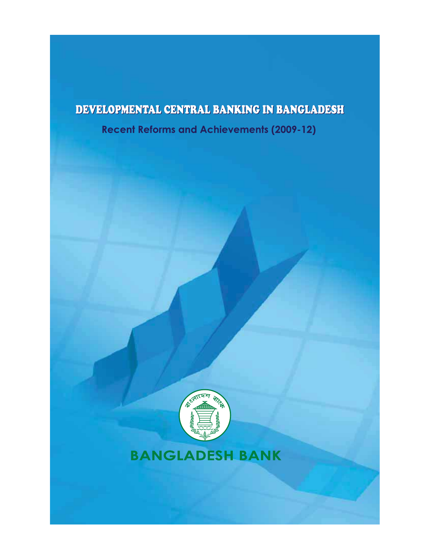# DEVELOPMENTAL CENTRAL BANKING IN BANGLADESH

**Recent Reforms and Achievements (2009-12)** 



# **BANGLADESH BANK**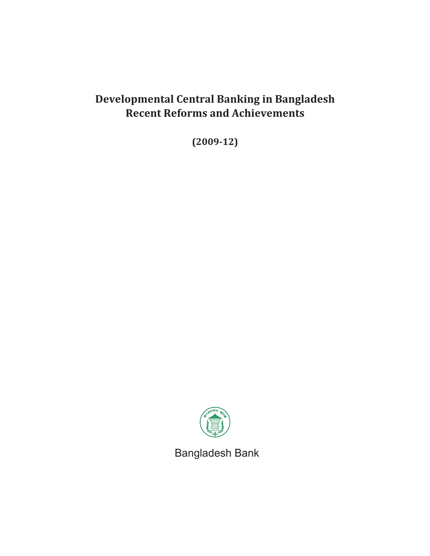# **Developmental Central Banking in Bangladesh Recent Reforms and Achievements**

**(2009-12)**



Bangladesh Bank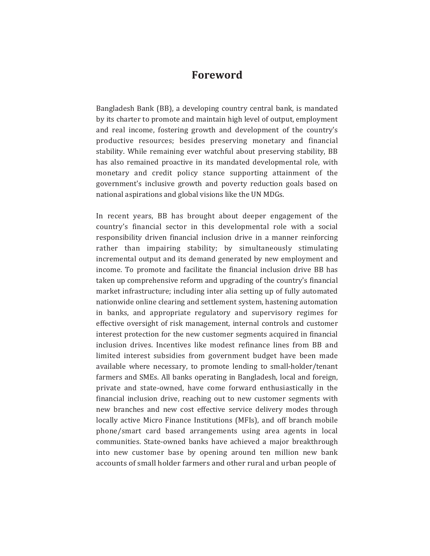# **Foreword**

Bangladesh Bank (BB), a developing country central bank, is mandated by its charter to promote and maintain high level of output, employment and real income, fostering growth and development of the country's productive resources; besides preserving monetary and financial stability. While remaining ever watchful about preserving stability, BB has also remained proactive in its mandated developmental role, with monetary and credit policy stance supporting attainment of the government's inclusive growth and poverty reduction goals based on national aspirations and global visions like the UN MDGs.

In recent years, BB has brought about deeper engagement of the country's financial sector in this developmental role with a social responsibility driven financial inclusion drive in a manner reinforcing rather than impairing stability; by simultaneously stimulating incremental output and its demand generated by new employment and income. To promote and facilitate the financial inclusion drive BB has taken up comprehensive reform and upgrading of the country's financial market infrastructure; including inter alia setting up of fully automated nationwide online clearing and settlement system, hastening automation in banks, and appropriate regulatory and supervisory regimes for effective oversight of risk management, internal controls and customer interest protection for the new customer segments acquired in financial inclusion drives. Incentives like modest refinance lines from BB and limited interest subsidies from government budget have been made available where necessary, to promote lending to small-holder/tenant farmers and SMEs. All banks operating in Bangladesh, local and foreign, private and state-owned, have come forward enthusiastically in the financial inclusion drive, reaching out to new customer segments with new branches and new cost effective service delivery modes through locally active Micro Finance Institutions (MFIs), and off branch mobile phone/smart card based arrangements using area agents in local communities. State-owned banks have achieved a major breakthrough into new customer base by opening around ten million new bank accounts of small holder farmers and other rural and urban people of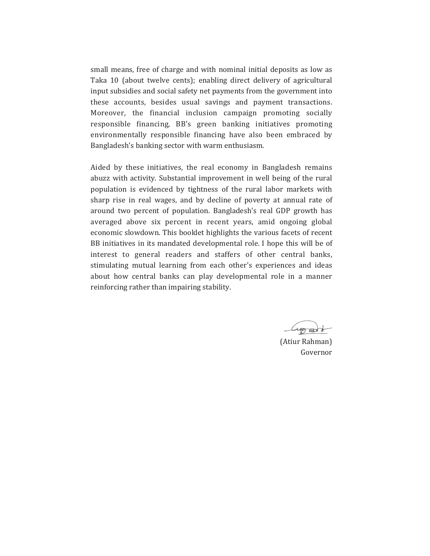small means, free of charge and with nominal initial deposits as low as Taka 10 (about twelve cents); enabling direct delivery of agricultural input subsidies and social safety net payments from the government into these accounts, besides usual savings and payment transactions. Moreover, the financial inclusion campaign promoting socially responsible financing, BB's green banking initiatives promoting environmentally responsible financing have also been embraced by Bangladesh's banking sector with warm enthusiasm.

Aided by these initiatives, the real economy in Bangladesh remains abuzz with activity. Substantial improvement in well being of the rural population is evidenced by tightness of the rural labor markets with sharp rise in real wages, and by decline of poverty at annual rate of around two percent of population. Bangladesh's real GDP growth has averaged above six percent in recent years, amid ongoing global economic slowdown. This booklet highlights the various facets of recent BB initiatives in its mandated developmental role. I hope this will be of interest to general readers and staffers of other central banks, stimulating mutual learning from each other's experiences and ideas about how central banks can play developmental role in a manner reinforcing rather than impairing stability.

(Atiur Rahman) Governor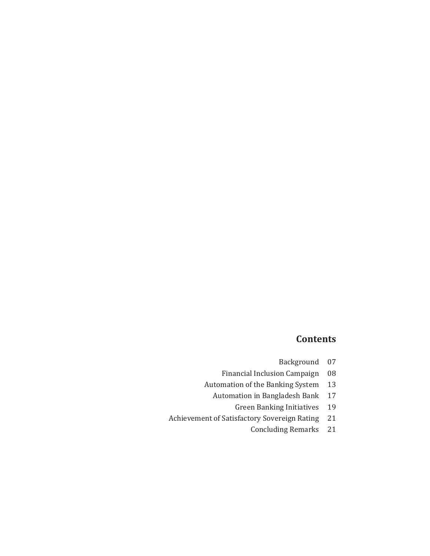# **Contents**

| Background | 07 |
|------------|----|
|------------|----|

- Financial Inclusion Campaign 08
- Automation of the Banking System 13
	- Automation in Bangladesh Bank 17
		- **Green Banking Initiatives** 19
- Achievement of Satisfactory Sovereign Rating 21
	- **Concluding Remarks** 21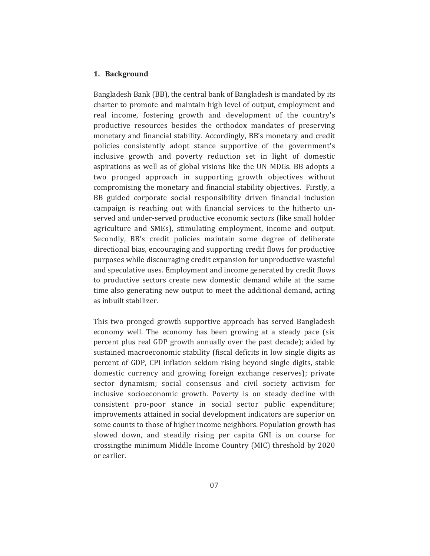#### 1. Background

Bangladesh Bank (BB), the central bank of Bangladesh is mandated by its charter to promote and maintain high level of output, employment and real income, fostering growth and development of the country's productive resources besides the orthodox mandates of preserving monetary and financial stability. Accordingly, BB's monetary and credit policies consistently adopt stance supportive of the government's inclusive growth and poverty reduction set in light of domestic aspirations as well as of global visions like the UN MDGs. BB adopts a two pronged approach in supporting growth objectives without compromising the monetary and financial stability objectives. Firstly, a BB guided corporate social responsibility driven financial inclusion campaign is reaching out with financial services to the hitherto unserved and under-served productive economic sectors (like small holder agriculture and SMEs), stimulating employment, income and output. Secondly, BB's credit policies maintain some degree of deliberate directional bias, encouraging and supporting credit flows for productive purposes while discouraging credit expansion for unproductive wasteful and speculative uses. Employment and income generated by credit flows to productive sectors create new domestic demand while at the same time also generating new output to meet the additional demand, acting as inbuilt stabilizer.

This two pronged growth supportive approach has served Bangladesh economy well. The economy has been growing at a steady pace (six percent plus real GDP growth annually over the past decade); aided by sustained macroeconomic stability (fiscal deficits in low single digits as percent of GDP, CPI inflation seldom rising beyond single digits, stable domestic currency and growing foreign exchange reserves); private sector dynamism; social consensus and civil society activism for inclusive socioeconomic growth. Poverty is on steady decline with consistent pro-poor stance in social sector public expenditure; improvements attained in social development indicators are superior on some counts to those of higher income neighbors. Population growth has slowed down, and steadily rising per capita GNI is on course for crossingthe minimum Middle Income Country (MIC) threshold by 2020 or earlier.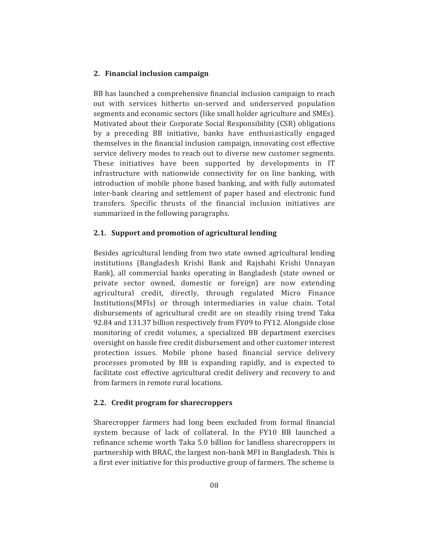#### 2. Financial inclusion campaign

BB has launched a comprehensive financial inclusion campaign to reach out with services hitherto un-served and underserved population segments and economic sectors (like small holder agriculture and SMEs). Motivated about their Corporate Social Responsibility (CSR) obligations by a preceding BB initiative, banks have enthusiastically engaged themselves in the financial inclusion campaign, innovating cost effective service delivery modes to reach out to diverse new customer segments. These initiatives have been supported by developments in IT infrastructure with nationwide connectivity for on line banking, with introduction of mobile phone based banking, and with fully automated inter-bank clearing and settlement of paper based and electronic fund transfers. Specific thrusts of the financial inclusion initiatives are summarized in the following paragraphs.

#### 2.1. Support and promotion of agricultural lending

Besides agricultural lending from two state owned agricultural lending institutions (Bangladesh Krishi Bank and Rajshahi Krishi Unnayan Bank), all commercial banks operating in Bangladesh (state owned or private sector owned, domestic or foreign) are now extending agricultural credit, directly, through regulated Micro Finance Institutions (MFIs) or through intermediaries in value chain. Total disbursements of agricultural credit are on steadily rising trend Taka 92.84 and 131.37 billion respectively from FY09 to FY12. Alongside close monitoring of credit volumes, a specialized BB department exercises oversight on hassle free credit disbursement and other customer interest protection issues. Mobile phone based financial service delivery processes promoted by BB is expanding rapidly, and is expected to facilitate cost effective agricultural credit delivery and recovery to and from farmers in remote rural locations.

# 2.2. Credit program for sharecroppers

Sharecropper farmers had long been excluded from formal financial system because of lack of collateral. In the FY10 BB launched a refinance scheme worth Taka 5.0 billion for landless sharecroppers in partnership with BRAC, the largest non-bank MFI in Bangladesh. This is a first ever initiative for this productive group of farmers. The scheme is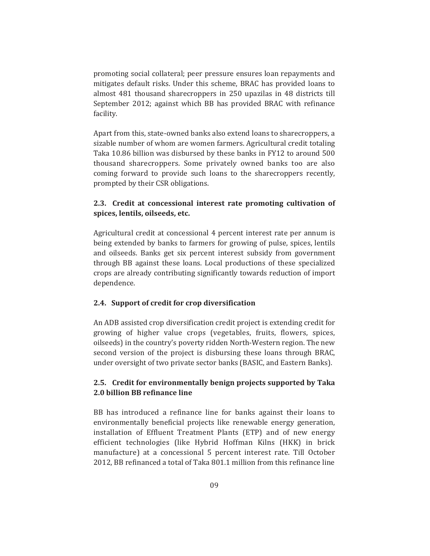promoting social collateral; peer pressure ensures loan repayments and mitigates default risks. Under this scheme, BRAC has provided loans to almost 481 thousand sharecroppers in 250 upazilas in 48 districts till September 2012; against which BB has provided BRAC with refinance facility.

Apart from this, state-owned banks also extend loans to sharecroppers, a sizable number of whom are women farmers. Agricultural credit totaling Taka 10.86 billion was disbursed by these banks in FY12 to around 500 thousand sharecroppers. Some privately owned banks too are also coming forward to provide such loans to the sharecroppers recently, prompted by their CSR obligations.

# **2.3. Credit at concessional interest rate promoting cultivation of spices, lentils, oilseeds, etc.**

Agricultural credit at concessional 4 percent interest rate per annum is being extended by banks to farmers for growing of pulse, spices, lentils and oilseeds. Banks get six percent interest subsidy from government through BB against these loans. Local productions of these specialized crops are already contributing significantly towards reduction of import dependence.

#### **2.4. Support of credit for crop diversification**

An ADB assisted crop diversification credit project is extending credit for growing of higher value crops (vegetables, fruits, flowers, spices, oilseeds) in the country's poverty ridden North-Western region. The new second version of the project is disbursing these loans through BRAC, under oversight of two private sector banks (BASIC, and Eastern Banks).

# **2.5. Credit for environmentally benign projects supported by Taka 2.0 billion BB refinance line**

BB has introduced a refinance line for banks against their loans to environmentally beneficial projects like renewable energy generation, installation of Effluent Treatment Plants (ETP) and of new energy efficient technologies (like Hybrid Hoffman Kilns (HKK) in brick manufacture) at a concessional 5 percent interest rate. Till October 2012. BB refinanced a total of Taka 801.1 million from this refinance line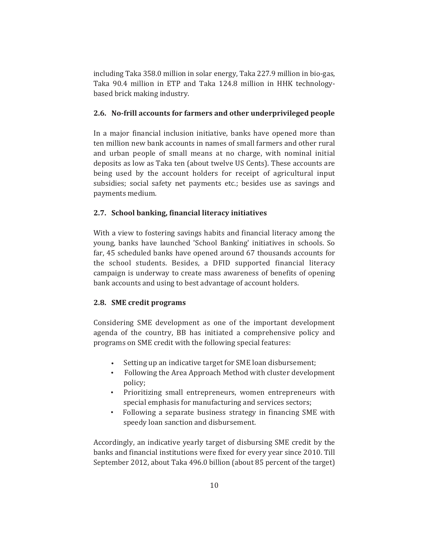including Taka 358.0 million in solar energy, Taka 227.9 million in bio-gas, Taka 90.4 million in ETP and Taka 124.8 million in HHK technologybased brick making industry.

#### 2.6. No-frill accounts for farmers and other underprivileged people

In a major financial inclusion initiative, banks have opened more than ten million new bank accounts in names of small farmers and other rural and urban people of small means at no charge, with nominal initial deposits as low as Taka ten (about twelve US Cents). These accounts are being used by the account holders for receipt of agricultural input subsidies; social safety net payments etc.; besides use as savings and payments medium.

#### 2.7. School banking, financial literacy initiatives

With a view to fostering savings habits and financial literacy among the young, banks have launched 'School Banking' initiatives in schools. So far, 45 scheduled banks have opened around 67 thousands accounts for the school students. Besides, a DFID supported financial literacy campaign is underway to create mass awareness of benefits of opening bank accounts and using to best advantage of account holders.

#### 2.8. SME credit programs

Considering SME development as one of the important development agenda of the country, BB has initiated a comprehensive policy and programs on SME credit with the following special features:

- Setting up an indicative target for SME loan disbursement;
- Following the Area Approach Method with cluster development policy;
- Prioritizing small entrepreneurs, women entrepreneurs with special emphasis for manufacturing and services sectors;
- Following a separate business strategy in financing SME with speedy loan sanction and disbursement.

Accordingly, an indicative yearly target of disbursing SME credit by the banks and financial institutions were fixed for every year since 2010. Till September 2012, about Taka 496.0 billion (about 85 percent of the target)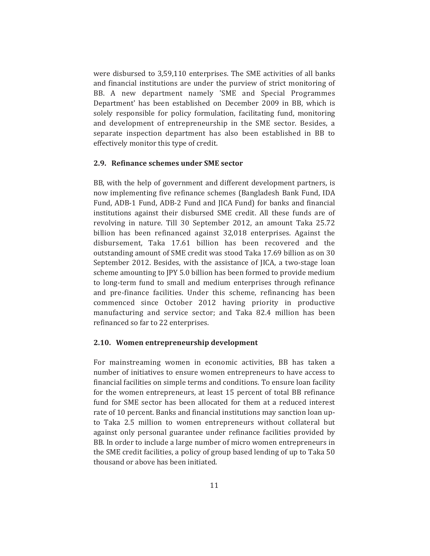were disbursed to 3,59,110 enterprises. The SME activities of all banks and financial institutions are under the purview of strict monitoring of BB. A new department namely 'SME and Special Programmes Department' has been established on December 2009 in BB, which is solely responsible for policy formulation, facilitating fund, monitoring and development of entrepreneurship in the SME sector. Besides, a separate inspection department has also been established in BB to effectively monitor this type of credit.

## 2.9. Refinance schemes under SME sector

BB, with the help of government and different development partners, is now implementing five refinance schemes (Bangladesh Bank Fund, IDA Fund, ADB-1 Fund, ADB-2 Fund and JICA Fund) for banks and financial institutions against their disbursed SME credit. All these funds are of revolving in nature. Till 30 September 2012, an amount Taka 25.72 billion has been refinanced against 32,018 enterprises. Against the disbursement, Taka 17.61 billion has been recovered and the outstanding amount of SME credit was stood Taka 17.69 billion as on 30 September 2012. Besides, with the assistance of JICA, a two-stage loan scheme amounting to JPY 5.0 billion has been formed to provide medium to long-term fund to small and medium enterprises through refinance and pre-finance facilities. Under this scheme, refinancing has been commenced since October 2012 having priority in productive manufacturing and service sector; and Taka 82.4 million has been refinanced so far to 22 enterprises.

#### 2.10. Women entrepreneurship development

For mainstreaming women in economic activities, BB has taken a number of initiatives to ensure women entrepreneurs to have access to financial facilities on simple terms and conditions. To ensure loan facility for the women entrepreneurs, at least 15 percent of total BB refinance fund for SME sector has been allocated for them at a reduced interest rate of 10 percent. Banks and financial institutions may sanction loan upto Taka 2.5 million to women entrepreneurs without collateral but against only personal guarantee under refinance facilities provided by BB. In order to include a large number of micro women entrepreneurs in the SME credit facilities, a policy of group based lending of up to Taka 50 thousand or above has been initiated.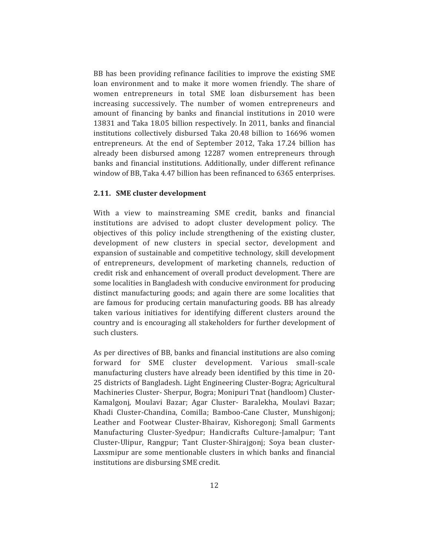BB has been providing refinance facilities to improve the existing SME loan environment and to make it more women friendly. The share of women entrepreneurs in total SME loan disbursement has been increasing successively. The number of women entrepreneurs and amount of financing by banks and financial institutions in 2010 were 13831 and Taka 18.05 billion respectively. In 2011, banks and financial institutions collectively disbursed Taka 20.48 billion to 16696 women entrepreneurs. At the end of September 2012, Taka 17.24 billion has already been disbursed among 12287 women entrepreneurs through banks and financial institutions. Additionally, under different refinance window of BB, Taka 4.47 billion has been refinanced to 6365 enterprises.

# 2.11. SME cluster development

With a view to mainstreaming SME credit, banks and financial institutions are advised to adopt cluster development policy. The objectives of this policy include strengthening of the existing cluster, development of new clusters in special sector, development and expansion of sustainable and competitive technology, skill development of entrepreneurs, development of marketing channels, reduction of credit risk and enhancement of overall product development. There are some localities in Bangladesh with conducive environment for producing distinct manufacturing goods; and again there are some localities that are famous for producing certain manufacturing goods. BB has already taken various initiatives for identifying different clusters around the country and is encouraging all stakeholders for further development of such clusters.

As per directives of BB, banks and financial institutions are also coming forward for SME cluster development. Various small-scale manufacturing clusters have already been identified by this time in 20-25 districts of Bangladesh. Light Engineering Cluster-Bogra; Agricultural Machineries Cluster- Sherpur, Bogra; Monipuri Tnat (handloom) Cluster-Kamalgonj, Moulavi Bazar; Agar Cluster- Baralekha, Moulavi Bazar; Khadi Cluster-Chandina, Comilla; Bamboo-Cane Cluster, Munshigonj; Leather and Footwear Cluster-Bhairav, Kishoregonj; Small Garments Manufacturing Cluster-Syedpur; Handicrafts Culture-Jamalpur; Tant Cluster-Ulipur, Rangpur; Tant Cluster-Shirajgoni; Soya bean cluster-Laxsmipur are some mentionable clusters in which banks and financial institutions are disbursing SME credit.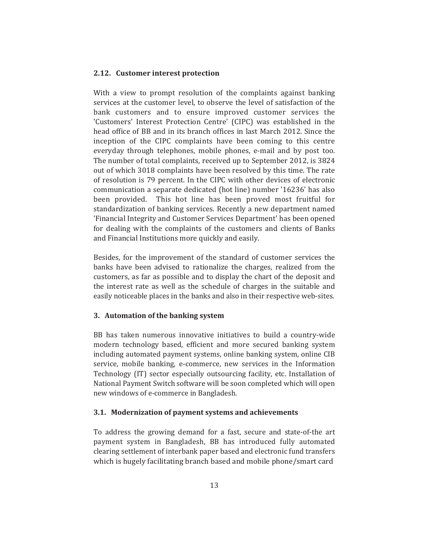#### 2.12. Customer interest protection

With a view to prompt resolution of the complaints against banking services at the customer level, to observe the level of satisfaction of the bank customers and to ensure improved customer services the 'Customers' Interest Protection Centre' (CIPC) was established in the head office of BB and in its branch offices in last March 2012. Since the inception of the CIPC complaints have been coming to this centre everyday through telephones, mobile phones, e-mail and by post too. The number of total complaints, received up to September 2012, is 3824 out of which 3018 complaints have been resolved by this time. The rate of resolution is 79 percent. In the CIPC with other devices of electronic communication a separate dedicated (hot line) number '16236' has also been provided. This hot line has been proved most fruitful for standardization of banking services. Recently a new department named 'Financial Integrity and Customer Services Department' has been opened for dealing with the complaints of the customers and clients of Banks and Financial Institutions more quickly and easily.

Besides, for the improvement of the standard of customer services the banks have been advised to rationalize the charges, realized from the customers, as far as possible and to display the chart of the deposit and the interest rate as well as the schedule of charges in the suitable and easily noticeable places in the banks and also in their respective web-sites.

#### 3. Automation of the banking system

BB has taken numerous innovative initiatives to build a country-wide modern technology based, efficient and more secured banking system including automated payment systems, online banking system, online CIB service, mobile banking, e-commerce, new services in the Information Technology (IT) sector especially outsourcing facility, etc. Installation of National Payment Switch software will be soon completed which will open new windows of e-commerce in Bangladesh.

#### 3.1. Modernization of payment systems and achievements

To address the growing demand for a fast, secure and state-of-the art payment system in Bangladesh, BB has introduced fully automated clearing settlement of interbank paper based and electronic fund transfers which is hugely facilitating branch based and mobile phone/smart card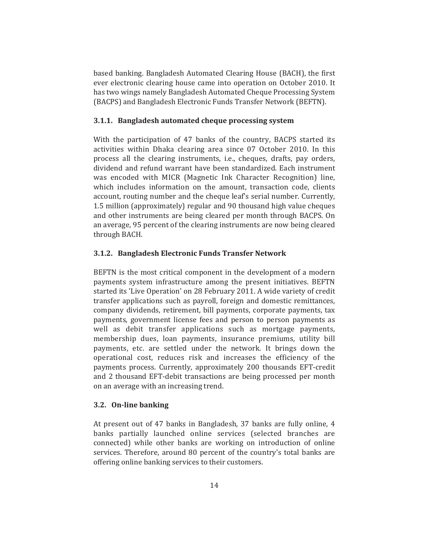based banking. Bangladesh Automated Clearing House (BACH), the first ever electronic clearing house came into operation on October 2010. It has two wings namely Bangladesh Automated Cheque Processing System (BACPS) and Bangladesh Electronic Funds Transfer Network (BEFTN).

#### 3.1.1. Bangladesh automated cheque processing system

With the participation of 47 banks of the country, BACPS started its activities within Dhaka clearing area since 07 October 2010. In this process all the clearing instruments, i.e., cheques, drafts, pay orders, dividend and refund warrant have been standardized. Each instrument was encoded with MICR (Magnetic Ink Character Recognition) line, which includes information on the amount, transaction code, clients account, routing number and the cheque leaf's serial number. Currently, 1.5 million (approximately) regular and 90 thousand high value cheques and other instruments are being cleared per month through BACPS. On an average, 95 percent of the clearing instruments are now being cleared through BACH.

#### 3.1.2. Bangladesh Electronic Funds Transfer Network

BEFTN is the most critical component in the development of a modern payments system infrastructure among the present initiatives. BEFTN started its 'Live Operation' on 28 February 2011. A wide variety of credit transfer applications such as payroll, foreign and domestic remittances, company dividends, retirement, bill payments, corporate payments, tax payments, government license fees and person to person payments as well as debit transfer applications such as mortgage payments, membership dues, loan payments, insurance premiums, utility bill payments, etc. are settled under the network. It brings down the operational cost, reduces risk and increases the efficiency of the payments process. Currently, approximately 200 thousands EFT-credit and 2 thousand EFT-debit transactions are being processed per month on an average with an increasing trend.

# 3.2. On-line banking

At present out of 47 banks in Bangladesh, 37 banks are fully online, 4 banks partially launched online services (selected branches are connected) while other banks are working on introduction of online services. Therefore, around 80 percent of the country's total banks are offering online banking services to their customers.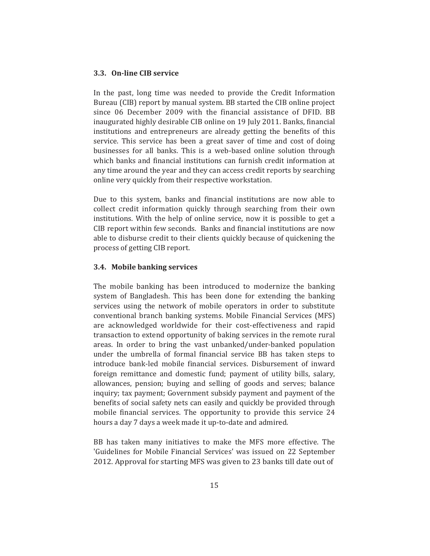### 3.3. On-line CIB service

In the past, long time was needed to provide the Credit Information Bureau (CIB) report by manual system. BB started the CIB online project since 06 December 2009 with the financial assistance of DFID. BB inaugurated highly desirable CIB online on 19 July 2011. Banks, financial institutions and entrepreneurs are already getting the benefits of this service. This service has been a great saver of time and cost of doing businesses for all banks. This is a web-based online solution through which banks and financial institutions can furnish credit information at any time around the year and they can access credit reports by searching online very quickly from their respective workstation.

Due to this system, banks and financial institutions are now able to collect credit information quickly through searching from their own institutions. With the help of online service, now it is possible to get a CIB report within few seconds. Banks and financial institutions are now able to disburse credit to their clients quickly because of quickening the process of getting CIB report.

#### 3.4. Mobile banking services

The mobile banking has been introduced to modernize the banking system of Bangladesh. This has been done for extending the banking services using the network of mobile operators in order to substitute conventional branch banking systems. Mobile Financial Services (MFS) are acknowledged worldwide for their cost-effectiveness and rapid transaction to extend opportunity of baking services in the remote rural areas. In order to bring the vast unbanked/under-banked population under the umbrella of formal financial service BB has taken steps to introduce bank-led mobile financial services. Disbursement of inward foreign remittance and domestic fund; payment of utility bills, salary, allowances, pension; buying and selling of goods and serves; balance inquiry; tax payment; Government subsidy payment and payment of the benefits of social safety nets can easily and quickly be provided through mobile financial services. The opportunity to provide this service 24 hours a day 7 days a week made it up-to-date and admired.

BB has taken many initiatives to make the MFS more effective. The 'Guidelines for Mobile Financial Services' was issued on 22 September 2012. Approval for starting MFS was given to 23 banks till date out of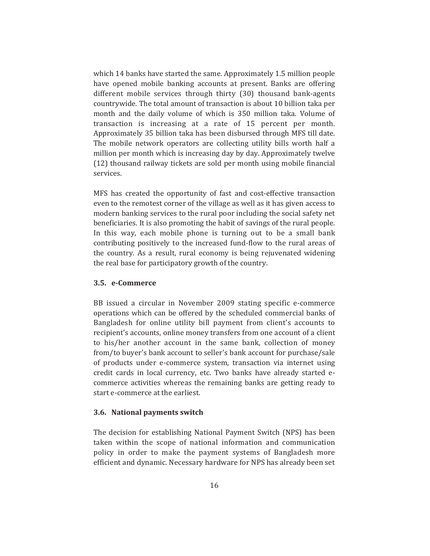which 14 banks have started the same. Approximately 1.5 million people have opened mobile banking accounts at present. Banks are offering different mobile services through thirty (30) thousand bank-agents countrywide. The total amount of transaction is about 10 billion taka per month and the daily volume of which is 350 million taka. Volume of transaction is increasing at a rate of 15 percent per month. Approximately 35 billion taka has been disbursed through MFS till date. The mobile network operators are collecting utility bills worth half a million per month which is increasing day by day. Approximately twelve (12) thousand railway tickets are sold per month using mobile financial services.

MFS has created the opportunity of fast and cost-effective transaction even to the remotest corner of the village as well as it has given access to modern banking services to the rural poor including the social safety net beneficiaries. It is also promoting the habit of savings of the rural people. In this way, each mobile phone is turning out to be a small bank contributing positively to the increased fund-flow to the rural areas of the country. As a result, rural economy is being rejuvenated widening the real base for participatory growth of the country.

# 3.5. e-Commerce

BB issued a circular in November 2009 stating specific e-commerce operations which can be offered by the scheduled commercial banks of Bangladesh for online utility bill payment from client's accounts to recipient's accounts, online money transfers from one account of a client to his/her another account in the same bank, collection of money from/to buyer's bank account to seller's bank account for purchase/sale of products under e-commerce system, transaction via internet using credit cards in local currency, etc. Two banks have already started ecommerce activities whereas the remaining banks are getting ready to start e-commerce at the earliest.

#### 3.6. National payments switch

The decision for establishing National Payment Switch (NPS) has been taken within the scope of national information and communication policy in order to make the payment systems of Bangladesh more efficient and dynamic. Necessary hardware for NPS has already been set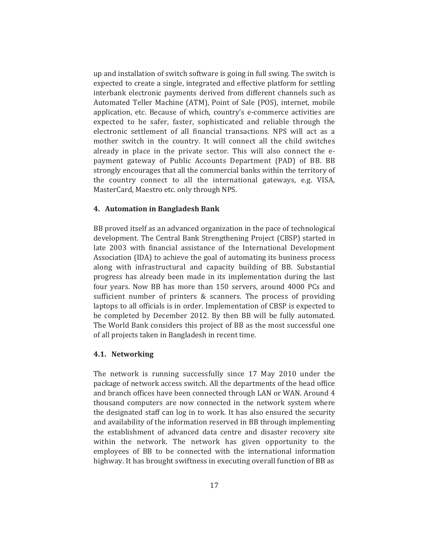up and installation of switch software is going in full swing. The switch is expected to create a single, integrated and effective platform for settling interbank electronic payments derived from different channels such as Automated Teller Machine (ATM), Point of Sale (POS), internet, mobile application, etc. Because of which, country's e-commerce activities are expected to be safer, faster, sophisticated and reliable through the electronic settlement of all financial transactions. NPS will act as a mother switch in the country. It will connect all the child switches already in place in the private sector. This will also connect the epayment gateway of Public Accounts Department (PAD) of BB. BB strongly encourages that all the commercial banks within the territory of the country connect to all the international gateways, e.g. VISA, MasterCard, Maestro etc. only through NPS.

#### 4. Automation in Bangladesh Bank

BB proved itself as an advanced organization in the pace of technological development. The Central Bank Strengthening Project (CBSP) started in late 2003 with financial assistance of the International Development Association (IDA) to achieve the goal of automating its business process along with infrastructural and capacity building of BB. Substantial progress has already been made in its implementation during the last four years. Now BB has more than 150 servers, around 4000 PCs and sufficient number of printers & scanners. The process of providing laptops to all officials is in order. Implementation of CBSP is expected to be completed by December 2012. By then BB will be fully automated. The World Bank considers this project of BB as the most successful one of all projects taken in Bangladesh in recent time.

#### 4.1. Networking

The network is running successfully since 17 May 2010 under the package of network access switch. All the departments of the head office and branch offices have been connected through LAN or WAN. Around 4 thousand computers are now connected in the network system where the designated staff can log in to work. It has also ensured the security and availability of the information reserved in BB through implementing the establishment of advanced data centre and disaster recovery site within the network. The network has given opportunity to the employees of BB to be connected with the international information highway. It has brought swiftness in executing overall function of BB as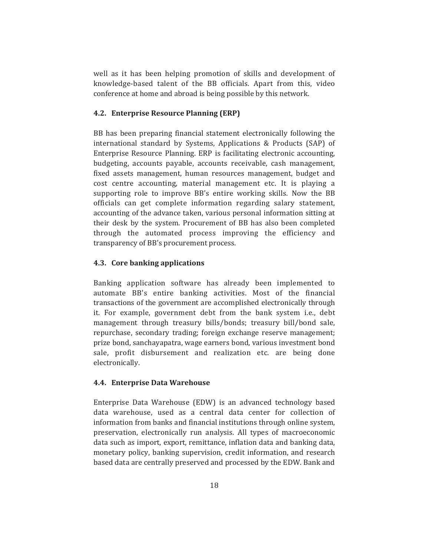well as it has been helping promotion of skills and development of knowledge-based talent of the BB officials. Apart from this, video conference at home and abroad is being possible by this network.

#### 4.2. Enterprise Resource Planning (ERP)

BB has been preparing financial statement electronically following the international standard by Systems, Applications & Products (SAP) of Enterprise Resource Planning. ERP is facilitating electronic accounting, budgeting, accounts payable, accounts receivable, cash management, fixed assets management, human resources management, budget and cost centre accounting, material management etc. It is playing a supporting role to improve BB's entire working skills. Now the BB officials can get complete information regarding salary statement, accounting of the advance taken, various personal information sitting at their desk by the system. Procurement of BB has also been completed through the automated process improving the efficiency and transparency of BB's procurement process.

#### 4.3. Core banking applications

Banking application software has already been implemented to automate BB's entire banking activities. Most of the financial transactions of the government are accomplished electronically through it. For example, government debt from the bank system i.e., debt management through treasury bills/bonds; treasury bill/bond sale, repurchase, secondary trading; foreign exchange reserve management; prize bond, sanchayapatra, wage earners bond, various investment bond sale, profit disbursement and realization etc. are being done electronically.

#### 4.4. Enterprise Data Warehouse

Enterprise Data Warehouse (EDW) is an advanced technology based data warehouse, used as a central data center for collection of information from banks and financial institutions through online system. preservation, electronically run analysis. All types of macroeconomic data such as import, export, remittance, inflation data and banking data, monetary policy, banking supervision, credit information, and research based data are centrally preserved and processed by the EDW. Bank and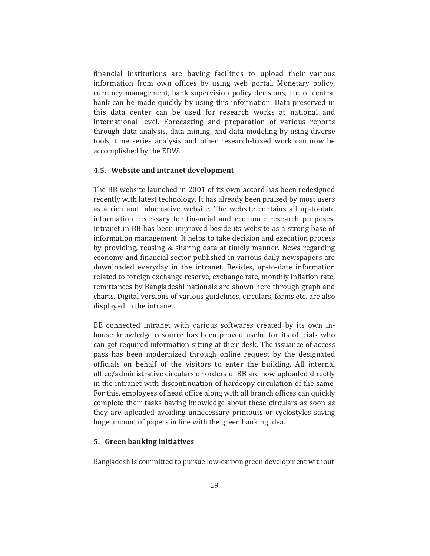financial institutions are having facilities to upload their various information from own offices by using web portal. Monetary policy, currency management, bank supervision policy decisions, etc. of central bank can be made quickly by using this information. Data preserved in this data center can be used for research works at national and international level. Forecasting and preparation of various reports through data analysis, data mining, and data modeling by using diverse tools, time series analysis and other research-based work can now be accomplished by the EDW.

# 4.5. Website and intranet development

The BB website launched in 2001 of its own accord has been redesigned recently with latest technology. It has already been praised by most users as a rich and informative website. The website contains all up-to-date information necessary for financial and economic research purposes. Intranet in BB has been improved beside its website as a strong base of information management. It helps to take decision and execution process by providing, reusing & sharing data at timely manner. News regarding economy and financial sector published in various daily newspapers are downloaded everyday in the intranet. Besides, up-to-date information related to foreign exchange reserve, exchange rate, monthly inflation rate, remittances by Bangladeshi nationals are shown here through graph and charts. Digital versions of various guidelines, circulars, forms etc. are also displayed in the intranet.

BB connected intranet with various softwares created by its own inhouse knowledge resource has been proved useful for its officials who can get required information sitting at their desk. The issuance of access pass has been modernized through online request by the designated officials on behalf of the visitors to enter the building. All internal office/administrative circulars or orders of BB are now uploaded directly in the intranet with discontinuation of hardcopy circulation of the same. For this, employees of head office along with all branch offices can quickly complete their tasks having knowledge about these circulars as soon as they are uploaded avoiding unnecessary printouts or cyclostyles saving huge amount of papers in line with the green banking idea.

## 5. Green banking initiatives

Bangladesh is committed to pursue low-carbon green development without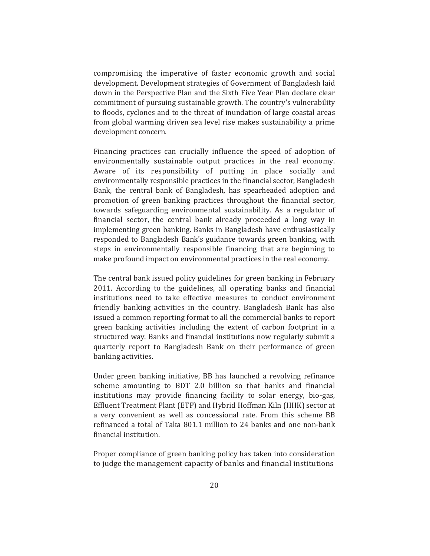compromising the imperative of faster economic growth and social development. Development strategies of Government of Bangladesh laid down in the Perspective Plan and the Sixth Five Year Plan declare clear commitment of pursuing sustainable growth. The country's vulnerability to floods, cyclones and to the threat of inundation of large coastal areas from global warming driven sea level rise makes sustainability a prime development concern.

Financing practices can crucially influence the speed of adoption of environmentally sustainable output practices in the real economy. Aware of its responsibility of putting in place socially and environmentally responsible practices in the financial sector, Bangladesh Bank, the central bank of Bangladesh, has spearheaded adoption and promotion of green banking practices throughout the financial sector, towards safeguarding environmental sustainability. As a regulator of financial sector, the central bank already proceeded a long way in implementing green banking. Banks in Bangladesh have enthusiastically responded to Bangladesh Bank's guidance towards green banking, with steps in environmentally responsible financing that are beginning to make profound impact on environmental practices in the real economy.

The central bank issued policy guidelines for green banking in February 2011. According to the guidelines, all operating banks and financial institutions need to take effective measures to conduct environment friendly banking activities in the country. Bangladesh Bank has also issued a common reporting format to all the commercial banks to report green banking activities including the extent of carbon footprint in a structured way. Banks and financial institutions now regularly submit a quarterly report to Bangladesh Bank on their performance of green banking activities.

Under green banking initiative, BB has launched a revolving refinance scheme amounting to BDT 2.0 billion so that banks and financial institutions may provide financing facility to solar energy, bio-gas, Effluent Treatment Plant (ETP) and Hybrid Hoffman Kiln (HHK) sector at a very convenient as well as concessional rate. From this scheme BB refinanced a total of Taka 801.1 million to 24 banks and one non-bank financial institution.

Proper compliance of green banking policy has taken into consideration to judge the management capacity of banks and financial institutions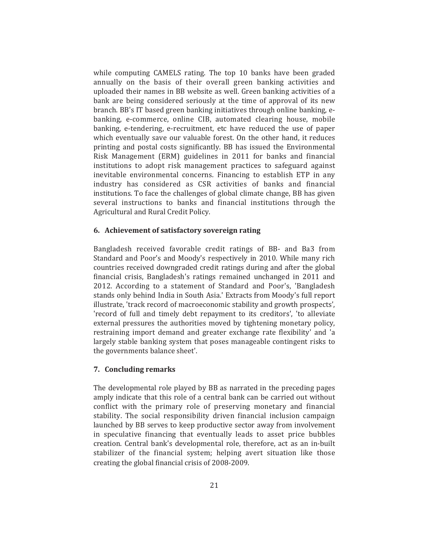while computing CAMELS rating. The top 10 banks have been graded annually on the basis of their overall green banking activities and uploaded their names in BB website as well. Green banking activities of a bank are being considered seriously at the time of approval of its new branch. BB's IT based green banking initiatives through online banking, ebanking, e-commerce, online CIB, automated clearing house, mobile banking, e-tendering, e-recruitment, etc have reduced the use of paper which eventually save our valuable forest. On the other hand, it reduces printing and postal costs significantly. BB has issued the Environmental Risk Management (ERM) guidelines in 2011 for banks and financial institutions to adopt risk management practices to safeguard against inevitable environmental concerns. Financing to establish ETP in any industry has considered as CSR activities of banks and financial institutions. To face the challenges of global climate change, BB has given several instructions to banks and financial institutions through the Agricultural and Rural Credit Policy.

#### 6. Achievement of satisfactory sovereign rating

Bangladesh received favorable credit ratings of BB- and Ba3 from Standard and Poor's and Moody's respectively in 2010. While many rich countries received downgraded credit ratings during and after the global financial crisis, Bangladesh's ratings remained unchanged in 2011 and 2012. According to a statement of Standard and Poor's, 'Bangladesh stands only behind India in South Asia.' Extracts from Moody's full report illustrate, 'track record of macroeconomic stability and growth prospects', 'record of full and timely debt repayment to its creditors', 'to alleviate external pressures the authorities moved by tightening monetary policy, restraining import demand and greater exchange rate flexibility' and 'a largely stable banking system that poses manageable contingent risks to the governments balance sheet'.

#### 7. Concluding remarks

The developmental role played by BB as narrated in the preceding pages amply indicate that this role of a central bank can be carried out without conflict with the primary role of preserving monetary and financial stability. The social responsibility driven financial inclusion campaign launched by BB serves to keep productive sector away from involvement in speculative financing that eventually leads to asset price bubbles creation. Central bank's developmental role, therefore, act as an in-built stabilizer of the financial system; helping avert situation like those creating the global financial crisis of 2008-2009.